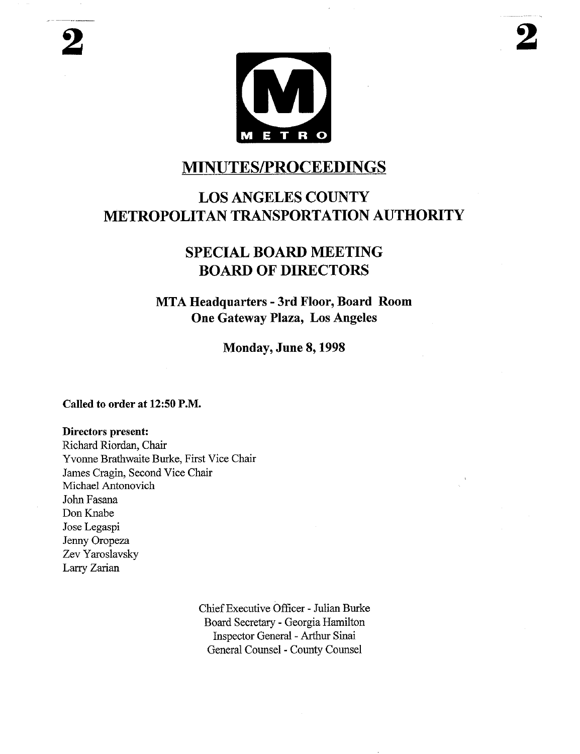### **MINUTES/PROCEEDINGS**

# **LOS ANGELES COUNTY METROPOLITAN TRANSPORTATION AUTHORITY**

## **SPECIAL BOARD MEETING BOARD OF DIRECTORS**

**MTA Headquarters - 3rd Floor, Board Room One Gateway Plaza, Los Angeles**

**Monday, June 8, 1998**

### **Called to order at 12:50 P.M.**

#### **Directors present:**

Richard Riordan, Chair Yvonne Brathwaite Burke, First Vice Chair James Cragin, Second Vice Chair Michael Antonovich John Fasana Don Knabe Jose Legaspi Jenny Oropeza Zev Yaroslavsky Larry Zarian

> Chief Executive Officer - Julian Burke Board Secretary - Georgia Hamilton Inspector General - Arthur Sinai General Counsel - County Counsel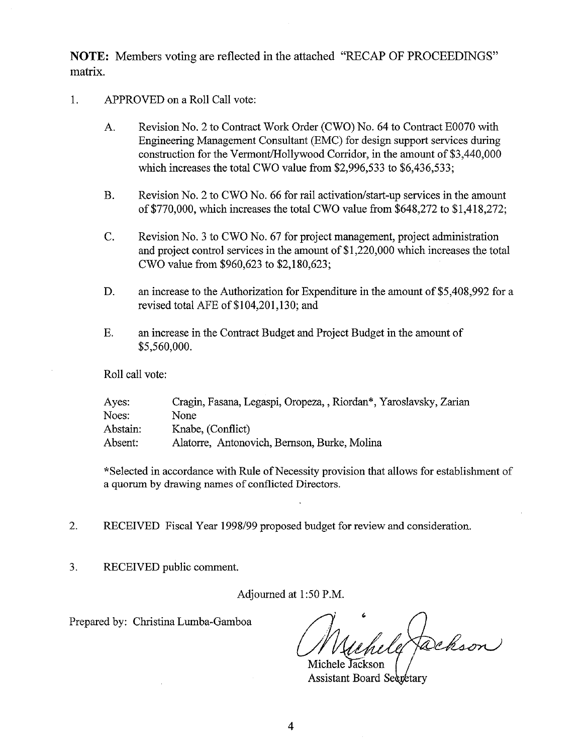NOTE: Members voting are reflected in the attached "RECAP OF PROCEEDINGS" matrix.

- 1. APPROVED on a Roll Call vote:
	- A. Revision No. 2 to Contract Work Order (CWO) No. 64 to Contract E0070 with Engineering Management Consultant (EMC) for design support services during construction for the Vermont/Hollywood Corridor, in the amount of \$3,440,000 which increases the total CWO value from \$2,996,533 to \$6,436,533;
	- B. Revision No. 2 to CWO No. 66 for rail activation/start-up services in the amount of \$770,000, which increases the total CWO value from \$648,272 to \$1,418,272;
	- C. Revision No. 3 to CWO No. 67 for project management, project administration and project control services in the amount of \$1,220,000 which increases the total CWO value from \$960,623 to \$2,180,623;
	- D. an increase to the Authorization for Expenditure in the amount of \$5,408,992 for a revised total AFE of \$104,201,130; and
	- E. an increase in the Contract Budget and Project Budget in the amount of \$5,560,000.

Roll call vote:

| Ayes:    | Cragin, Fasana, Legaspi, Oropeza, , Riordan*, Yaroslavsky, Zarian |
|----------|-------------------------------------------------------------------|
| Noes:    | None                                                              |
| Abstain: | Knabe, (Conflict)                                                 |
| Absent:  | Alatorre, Antonovich, Bernson, Burke, Molina                      |

\*Selected in accordance with Rule of Necessity provision that allows for establishment of a quorum by drawing names of conflicted Directors.

- 2. RECEIVED Fiscal Year 1998/99 proposed budget for review and consideration.
- $3.$ RECEIVED public comment.

Adjourned at 1:50 P.M.

Prepared by: Christina Lumba-Gamboa

fackson Michele Jackson

Assistant Board Secretary